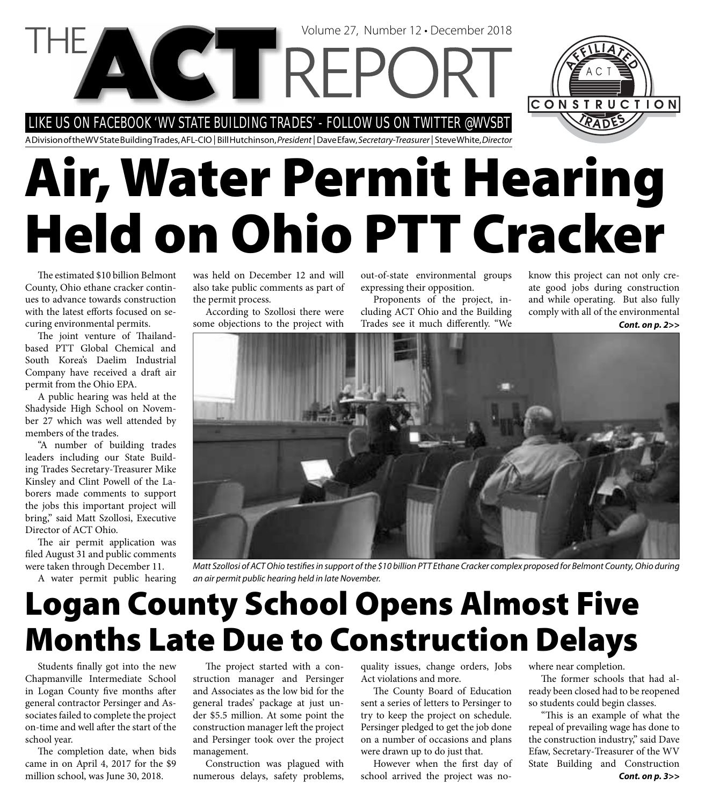LIKE US ON FACEBOOK 'WV STATE BUILDING TRADES' - FOLLOW US ON TWITTER @WVSBT

**NGTTREPC** 

A Division of the WV State Building Trades, AFL-CIO | Bill Hutchinson, President | Dave Efaw, Secretary-Treasurer | Steve White, Director

# **Air, Water Permit Hearing Held on Ohio PTT Cracker**

The estimated \$10 billion Belmont County, Ohio ethane cracker continues to advance towards construction with the latest efforts focused on securing environmental permits.

The joint venture of Thailandbased PTT Global Chemical and South Korea's Daelim Industrial Company have received a draft air permit from the Ohio EPA.

A public hearing was held at the Shadyside High School on November 27 which was well attended by members of the trades.

"A number of building trades leaders including our State Building Trades Secretary-Treasurer Mike Kinsley and Clint Powell of the Laborers made comments to support the jobs this important project will bring," said Matt Szollosi, Executive Director of ACT Ohio.

The air permit application was filed August 31 and public comments were taken through December 11.

A water permit public hearing

was held on December 12 and will also take public comments as part of the permit process.

According to Szollosi there were some objections to the project with

out-of-state environmental groups expressing their opposition.

Volume 27, Number 12 • December 2018

Proponents of the project, including ACT Ohio and the Building Trades see it much differently. "We

know this project can not only create good jobs during construction and while operating. But also fully comply with all of the environmental

CONSTRUCTION

*Cont. on p. 2>>*



Matt Szollosi of ACT Ohio testifies in support of the \$10 billion PTT Ethane Cracker complex proposed for Belmont County, Ohio during an air permit public hearing held in late November.

## **Logan County School Opens Almost Five Months Late Due to Construction Delays**

Students finally got into the new Chapmanville Intermediate School in Logan County five months after general contractor Persinger and Associates failed to complete the project on-time and well after the start of the school year.

The completion date, when bids came in on April 4, 2017 for the \$9 million school, was June 30, 2018.

The project started with a construction manager and Persinger and Associates as the low bid for the general trades' package at just under \$5.5 million. At some point the construction manager left the project and Persinger took over the project management.

Construction was plagued with numerous delays, safety problems, quality issues, change orders, Jobs Act violations and more.

The County Board of Education sent a series of letters to Persinger to try to keep the project on schedule. Persinger pledged to get the job done on a number of occasions and plans were drawn up to do just that.

However when the first day of school arrived the project was nowhere near completion.

The former schools that had already been closed had to be reopened so students could begin classes.

"This is an example of what the repeal of prevailing wage has done to the construction industry," said Dave Efaw, Secretary-Treasurer of the WV State Building and Construction *Cont. on p. 3>>*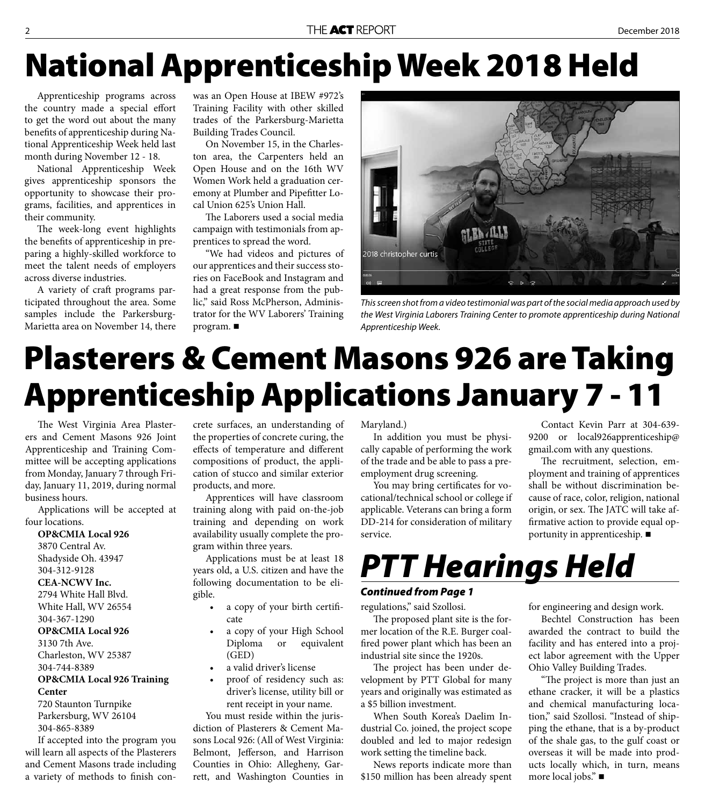# **National Apprenticeship Week 2018 Held**

Apprenticeship programs across the country made a special effort to get the word out about the many benefits of apprenticeship during National Apprenticeship Week held last month during November 12 - 18.

National Apprenticeship Week gives apprenticeship sponsors the opportunity to showcase their programs, facilities, and apprentices in their community.

The week-long event highlights the benefits of apprenticeship in preparing a highly-skilled workforce to meet the talent needs of employers across diverse industries.

A variety of craft programs participated throughout the area. Some samples include the Parkersburg-Marietta area on November 14, there was an Open House at IBEW #972's Training Facility with other skilled trades of the Parkersburg-Marietta Building Trades Council.

On November 15, in the Charleston area, the Carpenters held an Open House and on the 16th WV Women Work held a graduation ceremony at Plumber and Pipefitter Local Union 625's Union Hall.

The Laborers used a social media campaign with testimonials from apprentices to spread the word.

"We had videos and pictures of our apprentices and their success stories on FaceBook and Instagram and had a great response from the public," said Ross McPherson, Administrator for the WV Laborers' Training program.



This screen shot from a video testimonial was part of the social media approach used by the West Virginia Laborers Training Center to promote apprenticeship during National Apprenticeship Week.

# **Plasterers & Cement Masons 926 are Taking Apprenticeship Applications January 7 - 11**

The West Virginia Area Plasterers and Cement Masons 926 Joint Apprenticeship and Training Committee will be accepting applications from Monday, January 7 through Friday, January 11, 2019, during normal business hours.

Applications will be accepted at four locations.

**OP&CMIA Local 926**  3870 Central Av. Shadyside Oh. 43947 304-312-9128 **CEA-NCWV Inc.**  2794 White Hall Blvd. White Hall, WV 26554 304-367-1290 **OP&CMIA Local 926** 

3130 7th Ave. Charleston, WV 25387 304-744-8389

### **OP&CMIA Local 926 Training Center**

720 Staunton Turnpike Parkersburg, WV 26104 304-865-8389

If accepted into the program you will learn all aspects of the Plasterers and Cement Masons trade including a variety of methods to finish concrete surfaces, an understanding of the properties of concrete curing, the effects of temperature and different compositions of product, the application of stucco and similar exterior products, and more.

Apprentices will have classroom training along with paid on-the-job training and depending on work availability usually complete the program within three years.

Applications must be at least 18 years old, a U.S. citizen and have the following documentation to be eligible.

- a copy of your birth certificate
- a copy of your High School Diploma or equivalent (GED)
- a valid driver's license
- proof of residency such as: driver's license, utility bill or rent receipt in your name.

You must reside within the jurisdiction of Plasterers & Cement Masons Local 926: (All of West Virginia: Belmont, Jefferson, and Harrison Counties in Ohio: Allegheny, Garrett, and Washington Counties in

#### Maryland.)

In addition you must be physically capable of performing the work of the trade and be able to pass a preemployment drug screening.

You may bring certificates for vocational/technical school or college if applicable. Veterans can bring a form DD-214 for consideration of military service.

Contact Kevin Parr at 304-639- 9200 or local926apprenticeship@ gmail.com with any questions.

The recruitment, selection, employment and training of apprentices shall be without discrimination because of race, color, religion, national origin, or sex. The JATC will take affirmative action to provide equal opportunity in apprenticeship.

### *PTT Hearings Held*

#### *Continued from Page 1*

regulations," said Szollosi.

The proposed plant site is the former location of the R.E. Burger coalfired power plant which has been an industrial site since the 1920s.

The project has been under development by PTT Global for many years and originally was estimated as a \$5 billion investment.

When South Korea's Daelim Industrial Co. joined, the project scope doubled and led to major redesign work setting the timeline back.

News reports indicate more than \$150 million has been already spent for engineering and design work.

Bechtel Construction has been awarded the contract to build the facility and has entered into a project labor agreement with the Upper Ohio Valley Building Trades.

"The project is more than just an ethane cracker, it will be a plastics and chemical manufacturing location," said Szollosi. "Instead of shipping the ethane, that is a by-product of the shale gas, to the gulf coast or overseas it will be made into products locally which, in turn, means more local jobs."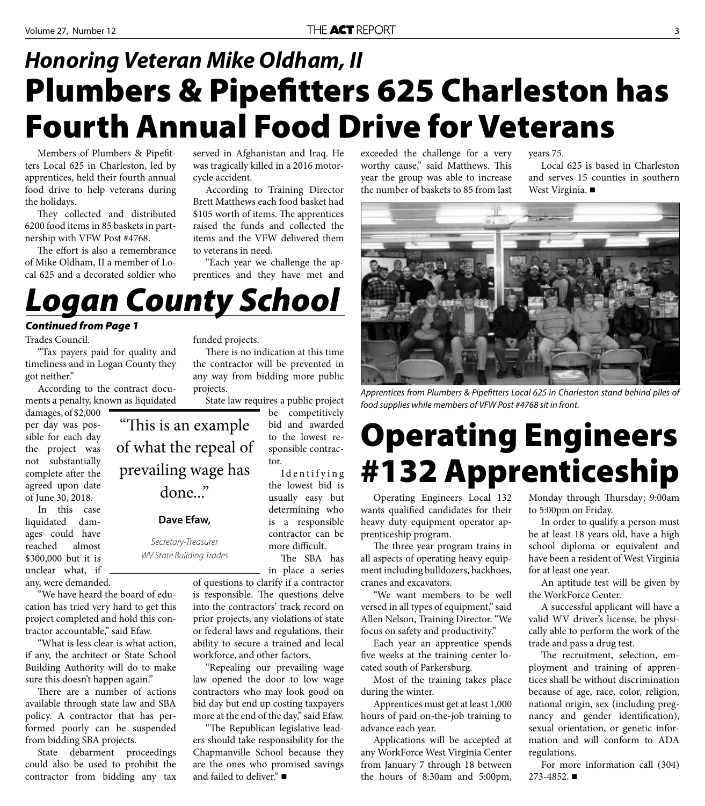### **Plumbers & Pipefitters 625 Charleston has Fourth Annual Food Drive for Veterans** *Honoring Veteran Mike Oldham, II*

Members of Plumbers & Pipefitters Local 625 in Charleston, led by apprentices, held their fourth annual food drive to help veterans during the holidays.

They collected and distributed 6200 food items in 85 baskets in partnership with VFW Post #4768.

The effort is also a remembrance of Mike Oldham, II a member of Local 625 and a decorated soldier who

served in Afghanistan and Iraq. He was tragically killed in a 2016 motorcycle accident.

According to Training Director Brett Matthews each food basket had \$105 worth of items. The apprentices raised the funds and collected the items and the VFW delivered them to veterans in need.

"Each year we challenge the apprentices and they have met and

exceeded the challenge for a very worthy cause," said Matthews. This year the group was able to increase the number of baskets to 85 from last

years 75.

Local 625 is based in Charleston and serves 15 counties in southern West Virginia. ■



Apprentices from Plumbers & Pipefitters Local 625 in Charleston stand behind piles of food supplies while members of VFW Post #4768 sit in front.

# **Operating Engineers #132 Apprenticeship**

Operating Engineers Local 132 wants qualified candidates for their heavy duty equipment operator apprenticeship program.

The three year program trains in all aspects of operating heavy equipment including bulldozers, backhoes, cranes and excavators.

"We want members to be well versed in all types of equipment," said Allen Nelson, Training Director. "We focus on safety and productivity."

Each year an apprentice spends five weeks at the training center located south of Parkersburg.

Most of the training takes place during the winter.

Apprentices must get at least 1,000 hours of paid on-the-job training to advance each year.

Applications will be accepted at any WorkForce West Virginia Center from January 7 through 18 between the hours of 8:30am and 5:00pm, Monday through Thursday; 9:00am to 5:00pm on Friday.

In order to qualify a person must be at least 18 years old, have a high school diploma or equivalent and have been a resident of West Virginia for at least one year.

An aptitude test will be given by the WorkForce Center.

A successful applicant will have a valid WV driver's license, be physically able to perform the work of the trade and pass a drug test.

The recruitment, selection, employment and training of apprentices shall be without discrimination because of age, race, color, religion, national origin, sex (including pregnancy and gender identification), sexual orientation, or genetic information and will conform to ADA regulations.

For more information call (304) 273-4852.

"This is an example of what the repeal of prevailing wage has done..."

In this case liquidated damages could have reached almost \$300,000 but it is unclear what, if any, were demanded.

"We have heard the board of education has tried very hard to get this project completed and hold this contractor accountable," said Efaw.

"What is less clear is what action, if any, the architect or State School Building Authority will do to make sure this doesn't happen again."

There are a number of actions available through state law and SBA policy. A contractor that has performed poorly can be suspended from bidding SBA projects.

State debarment proceedings could also be used to prohibit the contractor from bidding any tax funded projects. There is no indication at this time

the contractor will be prevented in any way from bidding more public projects.

State law requires a public project be competitively bid and awarded to the lowest responsible contractor.

> the lowest bid is usually easy but determining who is a responsible contractor can be more difficult.

The SBA has in place a series

of questions to clarify if a contractor

law opened the door to low wage contractors who may look good on bid day but end up costing taxpayers more at the end of the day," said Efaw.

"The Republican legislative leaders should take responsibility for the Chapmanville School because they are the ones who promised savings and failed to deliver."

I dentifying

is responsible. The questions delve into the contractors' track record on prior projects, any violations of state or federal laws and regulations, their ability to secure a trained and local workforce, and other factors.

"Repealing our prevailing wage

*Logan County School Continued from Page 1*

**Dave Efaw,** 

Secretary-Treasurer WV State Building Trades

"Tax payers paid for quality and timeliness and in Logan County they got neither."

According to the contract documents a penalty, known as liquidated

damages, of \$2,000 per day was possible for each day the project was not substantially complete after the agreed upon date of June 30, 2018.

Trades Council.